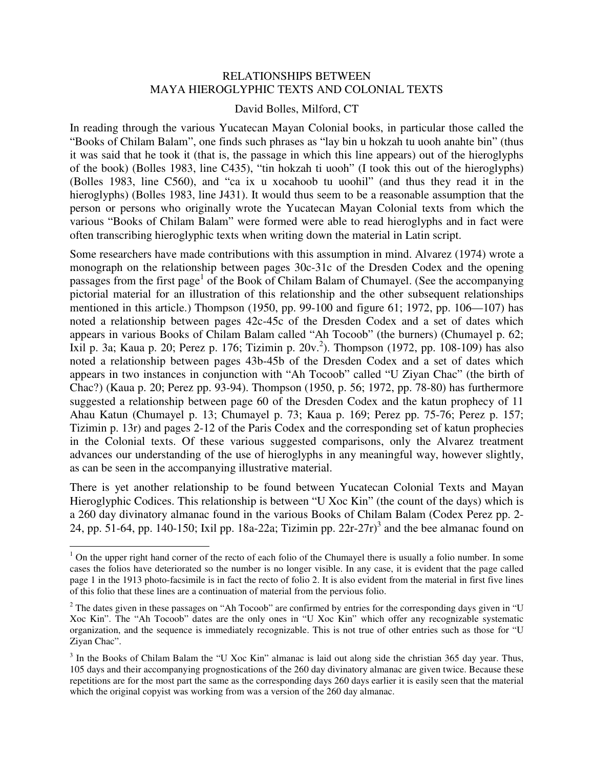## RELATIONSHIPS BETWEEN MAYA HIEROGLYPHIC TEXTS AND COLONIAL TEXTS

#### David Bolles, Milford, CT

In reading through the various Yucatecan Mayan Colonial books, in particular those called the "Books of Chilam Balam", one finds such phrases as "lay bin u hokzah tu uooh anahte bin" (thus it was said that he took it (that is, the passage in which this line appears) out of the hieroglyphs of the book) (Bolles 1983, line C435), "tin hokzah ti uooh" (I took this out of the hieroglyphs) (Bolles 1983, line C560), and "ca ix u xocahoob tu uoohil" (and thus they read it in the hieroglyphs) (Bolles 1983, line J431). It would thus seem to be a reasonable assumption that the person or persons who originally wrote the Yucatecan Mayan Colonial texts from which the various "Books of Chilam Balam" were formed were able to read hieroglyphs and in fact were often transcribing hieroglyphic texts when writing down the material in Latin script.

Some researchers have made contributions with this assumption in mind. Alvarez (1974) wrote a monograph on the relationship between pages 30c-31c of the Dresden Codex and the opening passages from the first page<sup>1</sup> of the Book of Chilam Balam of Chumayel. (See the accompanying pictorial material for an illustration of this relationship and the other subsequent relationships mentioned in this article.) Thompson (1950, pp. 99-100 and figure 61; 1972, pp. 106—107) has noted a relationship between pages 42c-45c of the Dresden Codex and a set of dates which appears in various Books of Chilam Balam called "Ah Tocoob" (the burners) (Chumayel p. 62; Ixil p. 3a; Kaua p. 20; Perez p. 176; Tizimin p. 20v. 2 ). Thompson (1972, pp. 108-109) has also noted a relationship between pages 43b-45b of the Dresden Codex and a set of dates which appears in two instances in conjunction with "Ah Tocoob" called "U Ziyan Chac" (the birth of Chac?) (Kaua p. 20; Perez pp. 93-94). Thompson (1950, p. 56; 1972, pp. 78-80) has furthermore suggested a relationship between page 60 of the Dresden Codex and the katun prophecy of 11 Ahau Katun (Chumayel p. 13; Chumayel p. 73; Kaua p. 169; Perez pp. 75-76; Perez p. 157; Tizimin p. 13r) and pages 2-12 of the Paris Codex and the corresponding set of katun prophecies in the Colonial texts. Of these various suggested comparisons, only the Alvarez treatment advances our understanding of the use of hieroglyphs in any meaningful way, however slightly, as can be seen in the accompanying illustrative material.

There is yet another relationship to be found between Yucatecan Colonial Texts and Mayan Hieroglyphic Codices. This relationship is between "U Xoc Kin" (the count of the days) which is a 260 day divinatory almanac found in the various Books of Chilam Balam (Codex Perez pp. 2- 24, pp. 51-64, pp. 140-150; Ixil pp. 18a-22a; Tizimin pp.  $22r-27r$ <sup>3</sup> and the bee almanac found on

<sup>&</sup>lt;sup>1</sup> On the upper right hand corner of the recto of each folio of the Chumayel there is usually a folio number. In some cases the folios have deteriorated so the number is no longer visible. In any case, it is evident that the page called page 1 in the 1913 photo-facsimile is in fact the recto of folio 2. It is also evident from the material in first five lines of this folio that these lines are a continuation of material from the pervious folio.

<sup>&</sup>lt;sup>2</sup> The dates given in these passages on "Ah Tocoob" are confirmed by entries for the corresponding days given in "U Xoc Kin". The "Ah Tocoob" dates are the only ones in "U Xoc Kin" which offer any recognizable systematic organization, and the sequence is immediately recognizable. This is not true of other entries such as those for "U Ziyan Chac".

 $3$  In the Books of Chilam Balam the "U Xoc Kin" almanac is laid out along side the christian 365 day year. Thus, 105 days and their accompanying prognostications of the 260 day divinatory almanac are given twice. Because these repetitions are for the most part the same as the corresponding days 260 days earlier it is easily seen that the material which the original copyist was working from was a version of the 260 day almanac.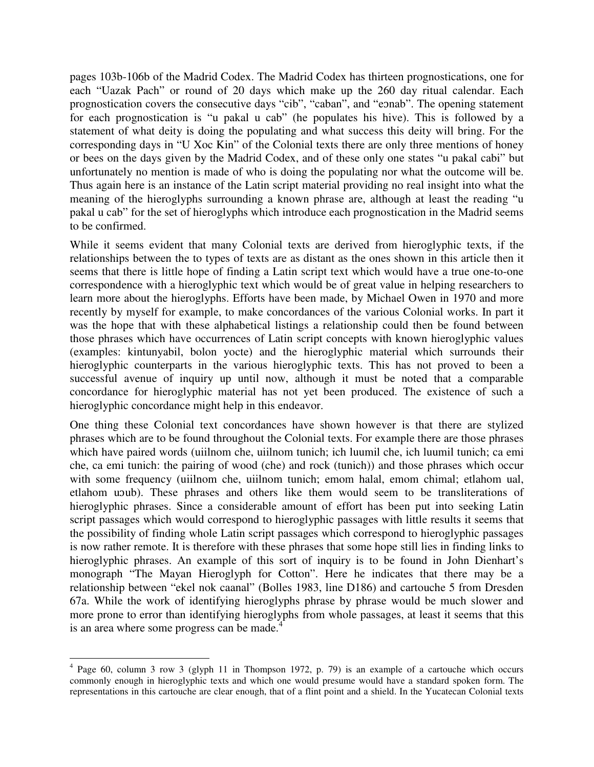pages 103b-106b of the Madrid Codex. The Madrid Codex has thirteen prognostications, one for each "Uazak Pach" or round of 20 days which make up the 260 day ritual calendar. Each prognostication covers the consecutive days "cib", "caban", and "eɔnab". The opening statement for each prognostication is "u pakal u cab" (he populates his hive). This is followed by a statement of what deity is doing the populating and what success this deity will bring. For the corresponding days in "U Xoc Kin" of the Colonial texts there are only three mentions of honey or bees on the days given by the Madrid Codex, and of these only one states "u pakal cabi" but unfortunately no mention is made of who is doing the populating nor what the outcome will be. Thus again here is an instance of the Latin script material providing no real insight into what the meaning of the hieroglyphs surrounding a known phrase are, although at least the reading "u pakal u cab" for the set of hieroglyphs which introduce each prognostication in the Madrid seems to be confirmed.

While it seems evident that many Colonial texts are derived from hieroglyphic texts, if the relationships between the to types of texts are as distant as the ones shown in this article then it seems that there is little hope of finding a Latin script text which would have a true one-to-one correspondence with a hieroglyphic text which would be of great value in helping researchers to learn more about the hieroglyphs. Efforts have been made, by Michael Owen in 1970 and more recently by myself for example, to make concordances of the various Colonial works. In part it was the hope that with these alphabetical listings a relationship could then be found between those phrases which have occurrences of Latin script concepts with known hieroglyphic values (examples: kintunyabil, bolon yocte) and the hieroglyphic material which surrounds their hieroglyphic counterparts in the various hieroglyphic texts. This has not proved to been a successful avenue of inquiry up until now, although it must be noted that a comparable concordance for hieroglyphic material has not yet been produced. The existence of such a hieroglyphic concordance might help in this endeavor.

One thing these Colonial text concordances have shown however is that there are stylized phrases which are to be found throughout the Colonial texts. For example there are those phrases which have paired words (uiilnom che, uiilnom tunich; ich luumil che, ich luumil tunich; ca emi che, ca emi tunich: the pairing of wood (che) and rock (tunich)) and those phrases which occur with some frequency (uiilnom che, uiilnom tunich; emom halal, emom chimal; etlahom ual, etlahom uɔub). These phrases and others like them would seem to be transliterations of hieroglyphic phrases. Since a considerable amount of effort has been put into seeking Latin script passages which would correspond to hieroglyphic passages with little results it seems that the possibility of finding whole Latin script passages which correspond to hieroglyphic passages is now rather remote. It is therefore with these phrases that some hope still lies in finding links to hieroglyphic phrases. An example of this sort of inquiry is to be found in John Dienhart's monograph "The Mayan Hieroglyph for Cotton". Here he indicates that there may be a relationship between "ekel nok caanal" (Bolles 1983, line D186) and cartouche 5 from Dresden 67a. While the work of identifying hieroglyphs phrase by phrase would be much slower and more prone to error than identifying hieroglyphs from whole passages, at least it seems that this is an area where some progress can be made.<sup>4</sup>

 $\overline{a}$ <sup>4</sup> Page 60, column 3 row 3 (glyph 11 in Thompson 1972, p. 79) is an example of a cartouche which occurs commonly enough in hieroglyphic texts and which one would presume would have a standard spoken form. The representations in this cartouche are clear enough, that of a flint point and a shield. In the Yucatecan Colonial texts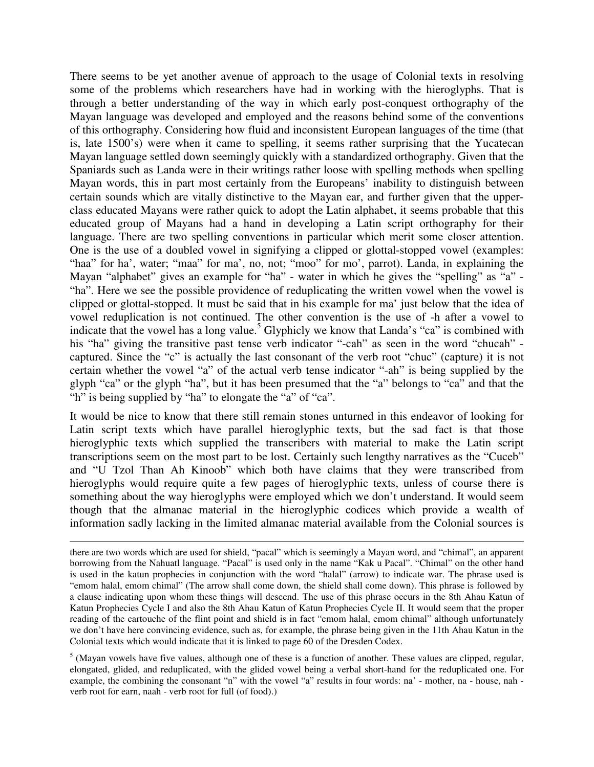There seems to be yet another avenue of approach to the usage of Colonial texts in resolving some of the problems which researchers have had in working with the hieroglyphs. That is through a better understanding of the way in which early post-conquest orthography of the Mayan language was developed and employed and the reasons behind some of the conventions of this orthography. Considering how fluid and inconsistent European languages of the time (that is, late 1500's) were when it came to spelling, it seems rather surprising that the Yucatecan Mayan language settled down seemingly quickly with a standardized orthography. Given that the Spaniards such as Landa were in their writings rather loose with spelling methods when spelling Mayan words, this in part most certainly from the Europeans' inability to distinguish between certain sounds which are vitally distinctive to the Mayan ear, and further given that the upperclass educated Mayans were rather quick to adopt the Latin alphabet, it seems probable that this educated group of Mayans had a hand in developing a Latin script orthography for their language. There are two spelling conventions in particular which merit some closer attention. One is the use of a doubled vowel in signifying a clipped or glottal-stopped vowel (examples: "haa" for ha', water; "maa" for ma', no, not; "moo" for mo', parrot). Landa, in explaining the Mayan "alphabet" gives an example for "ha" - water in which he gives the "spelling" as "a" -"ha". Here we see the possible providence of reduplicating the written vowel when the vowel is clipped or glottal-stopped. It must be said that in his example for ma' just below that the idea of vowel reduplication is not continued. The other convention is the use of -h after a vowel to indicate that the vowel has a long value.<sup>5</sup> Glyphicly we know that Landa's "ca" is combined with his "ha" giving the transitive past tense verb indicator "-cah" as seen in the word "chucah" captured. Since the "c" is actually the last consonant of the verb root "chuc" (capture) it is not certain whether the vowel "a" of the actual verb tense indicator "-ah" is being supplied by the glyph "ca" or the glyph "ha", but it has been presumed that the "a" belongs to "ca" and that the "h" is being supplied by "ha" to elongate the "a" of "ca".

It would be nice to know that there still remain stones unturned in this endeavor of looking for Latin script texts which have parallel hieroglyphic texts, but the sad fact is that those hieroglyphic texts which supplied the transcribers with material to make the Latin script transcriptions seem on the most part to be lost. Certainly such lengthy narratives as the "Cuceb" and "U Tzol Than Ah Kinoob" which both have claims that they were transcribed from hieroglyphs would require quite a few pages of hieroglyphic texts, unless of course there is something about the way hieroglyphs were employed which we don't understand. It would seem though that the almanac material in the hieroglyphic codices which provide a wealth of information sadly lacking in the limited almanac material available from the Colonial sources is

l

there are two words which are used for shield, "pacal" which is seemingly a Mayan word, and "chimal", an apparent borrowing from the Nahuatl language. "Pacal" is used only in the name "Kak u Pacal". "Chimal" on the other hand is used in the katun prophecies in conjunction with the word "halal" (arrow) to indicate war. The phrase used is "emom halal, emom chimal" (The arrow shall come down, the shield shall come down). This phrase is followed by a clause indicating upon whom these things will descend. The use of this phrase occurs in the 8th Ahau Katun of Katun Prophecies Cycle I and also the 8th Ahau Katun of Katun Prophecies Cycle II. It would seem that the proper reading of the cartouche of the flint point and shield is in fact "emom halal, emom chimal" although unfortunately we don't have here convincing evidence, such as, for example, the phrase being given in the 11th Ahau Katun in the Colonial texts which would indicate that it is linked to page 60 of the Dresden Codex.

 $<sup>5</sup>$  (Mayan vowels have five values, although one of these is a function of another. These values are clipped, regular,</sup> elongated, glided, and reduplicated, with the glided vowel being a verbal short-hand for the reduplicated one. For example, the combining the consonant "n" with the vowel "a" results in four words: na' - mother, na - house, nah verb root for earn, naah - verb root for full (of food).)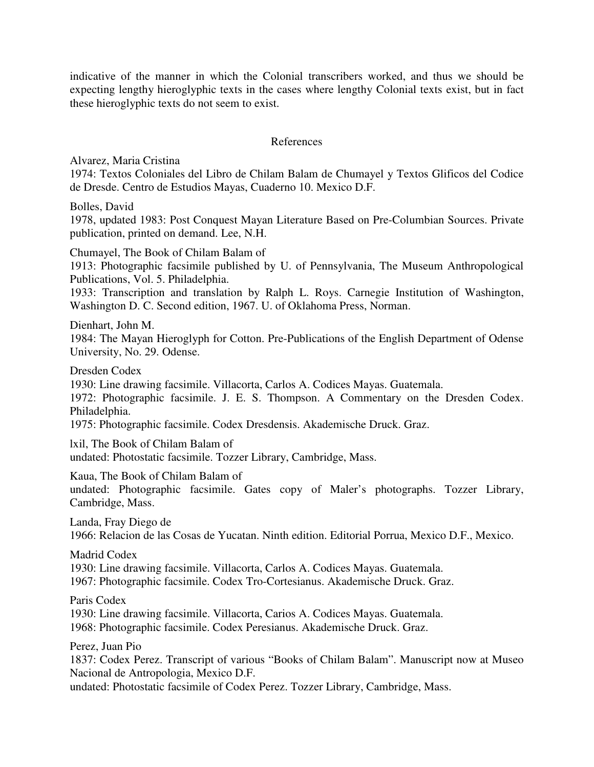indicative of the manner in which the Colonial transcribers worked, and thus we should be expecting lengthy hieroglyphic texts in the cases where lengthy Colonial texts exist, but in fact these hieroglyphic texts do not seem to exist.

### References

Alvarez, Maria Cristina

1974: Textos Coloniales del Libro de Chilam Balam de Chumayel y Textos Glificos del Codice de Dresde. Centro de Estudios Mayas, Cuaderno 10. Mexico D.F.

Bolles, David

1978, updated 1983: Post Conquest Mayan Literature Based on Pre-Columbian Sources. Private publication, printed on demand. Lee, N.H.

Chumayel, The Book of Chilam Balam of

1913: Photographic facsimile published by U. of Pennsylvania, The Museum Anthropological Publications, Vol. 5. Philadelphia.

1933: Transcription and translation by Ralph L. Roys. Carnegie Institution of Washington, Washington D. C. Second edition, 1967. U. of Oklahoma Press, Norman.

Dienhart, John M.

1984: The Mayan Hieroglyph for Cotton. Pre-Publications of the English Department of Odense University, No. 29. Odense.

Dresden Codex

1930: Line drawing facsimile. Villacorta, Carlos A. Codices Mayas. Guatemala.

1972: Photographic facsimile. J. E. S. Thompson. A Commentary on the Dresden Codex. Philadelphia.

1975: Photographic facsimile. Codex Dresdensis. Akademische Druck. Graz.

lxil, The Book of Chilam Balam of undated: Photostatic facsimile. Tozzer Library, Cambridge, Mass.

Kaua, The Book of Chilam Balam of undated: Photographic facsimile. Gates copy of Maler's photographs. Tozzer Library, Cambridge, Mass.

Landa, Fray Diego de 1966: Relacion de las Cosas de Yucatan. Ninth edition. Editorial Porrua, Mexico D.F., Mexico.

Madrid Codex

1930: Line drawing facsimile. Villacorta, Carlos A. Codices Mayas. Guatemala.

1967: Photographic facsimile. Codex Tro-Cortesianus. Akademische Druck. Graz.

Paris Codex

1930: Line drawing facsimile. Villacorta, Carios A. Codices Mayas. Guatemala.

1968: Photographic facsimile. Codex Peresianus. Akademische Druck. Graz.

Perez, Juan Pio

1837: Codex Perez. Transcript of various "Books of Chilam Balam". Manuscript now at Museo Nacional de Antropologia, Mexico D.F.

undated: Photostatic facsimile of Codex Perez. Tozzer Library, Cambridge, Mass.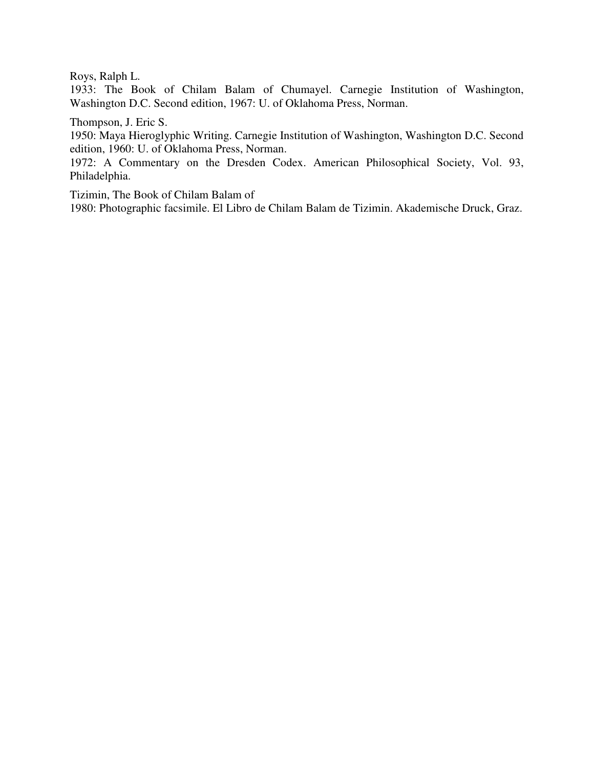Roys, Ralph L.

1933: The Book of Chilam Balam of Chumayel. Carnegie Institution of Washington, Washington D.C. Second edition, 1967: U. of Oklahoma Press, Norman.

Thompson, J. Eric S.

1950: Maya Hieroglyphic Writing. Carnegie Institution of Washington, Washington D.C. Second edition, 1960: U. of Oklahoma Press, Norman.

1972: A Commentary on the Dresden Codex. American Philosophical Society, Vol. 93, Philadelphia.

Tizimin, The Book of Chilam Balam of

1980: Photographic facsimile. El Libro de Chilam Balam de Tizimin. Akademische Druck, Graz.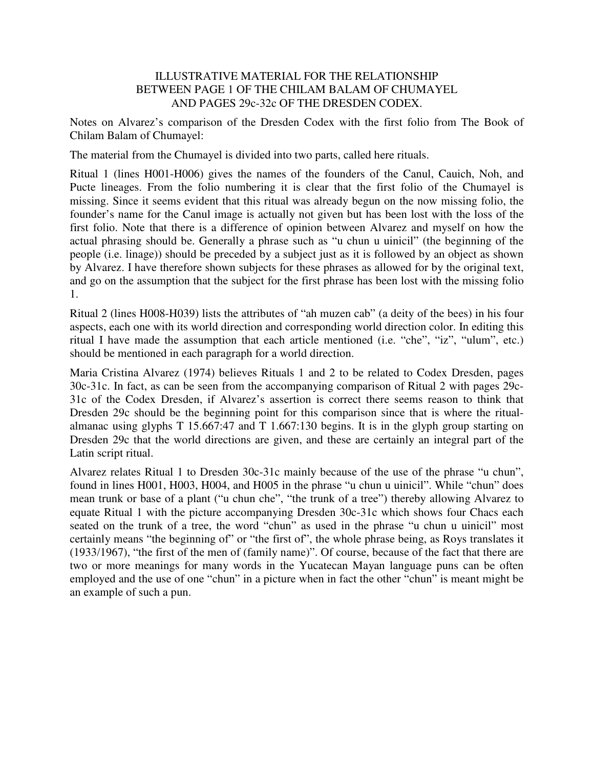## ILLUSTRATIVE MATERIAL FOR THE RELATIONSHIP BETWEEN PAGE 1 OF THE CHILAM BALAM OF CHUMAYEL AND PAGES 29c-32c OF THE DRESDEN CODEX.

Notes on Alvarez's comparison of the Dresden Codex with the first folio from The Book of Chilam Balam of Chumayel:

The material from the Chumayel is divided into two parts, called here rituals.

Ritual 1 (lines H001-H006) gives the names of the founders of the Canul, Cauich, Noh, and Pucte lineages. From the folio numbering it is clear that the first folio of the Chumayel is missing. Since it seems evident that this ritual was already begun on the now missing folio, the founder's name for the Canul image is actually not given but has been lost with the loss of the first folio. Note that there is a difference of opinion between Alvarez and myself on how the actual phrasing should be. Generally a phrase such as "u chun u uinicil" (the beginning of the people (i.e. linage)) should be preceded by a subject just as it is followed by an object as shown by Alvarez. I have therefore shown subjects for these phrases as allowed for by the original text, and go on the assumption that the subject for the first phrase has been lost with the missing folio 1.

Ritual 2 (lines H008-H039) lists the attributes of "ah muzen cab" (a deity of the bees) in his four aspects, each one with its world direction and corresponding world direction color. In editing this ritual I have made the assumption that each article mentioned (i.e. "che", "iz", "ulum", etc.) should be mentioned in each paragraph for a world direction.

Maria Cristina Alvarez (1974) believes Rituals 1 and 2 to be related to Codex Dresden, pages 30c-31c. In fact, as can be seen from the accompanying comparison of Ritual 2 with pages 29c-31c of the Codex Dresden, if Alvarez's assertion is correct there seems reason to think that Dresden 29c should be the beginning point for this comparison since that is where the ritualalmanac using glyphs T 15.667:47 and T 1.667:130 begins. It is in the glyph group starting on Dresden 29c that the world directions are given, and these are certainly an integral part of the Latin script ritual.

Alvarez relates Ritual 1 to Dresden 30c-31c mainly because of the use of the phrase "u chun", found in lines H001, H003, H004, and H005 in the phrase "u chun u uinicil". While "chun" does mean trunk or base of a plant ("u chun che", "the trunk of a tree") thereby allowing Alvarez to equate Ritual 1 with the picture accompanying Dresden 30c-31c which shows four Chacs each seated on the trunk of a tree, the word "chun" as used in the phrase "u chun u uinicil" most certainly means "the beginning of" or "the first of", the whole phrase being, as Roys translates it (1933/1967), "the first of the men of (family name)". Of course, because of the fact that there are two or more meanings for many words in the Yucatecan Mayan language puns can be often employed and the use of one "chun" in a picture when in fact the other "chun" is meant might be an example of such a pun.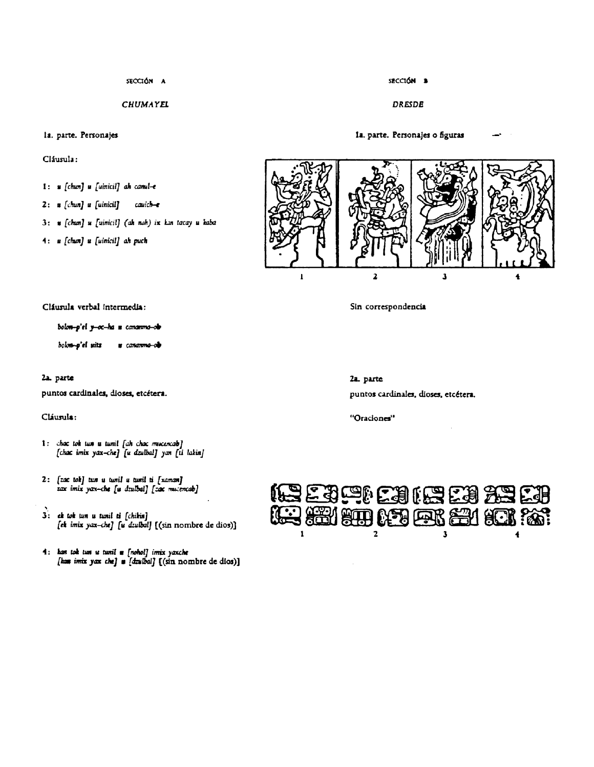SECCIÓN A

**CHUMAYEL** 

#### la. parte. Personajes

Cláusula:

- 1: u [chun] u [uinicil] ah canul-e
- $2: \t s [chn] \t s [unicil]$ cavich—e
- 3: \* [chun] u [uinicil] (ah noh) ix kan tacay u kaba
- 4: u [chun] u [uinicil] ah puch

 $\overline{2}$ 

Cláusula verbal intermedia:

bolon-p'el y-oc-ha u cananma-ob

bolon-p'el uitz u cananma-ob

#### 2a. parte

puntos cardinales, dioses, etcétera.

#### Cláusula:

- 1: chac tok tun u tunil [ah chac mucencab] [chac imix yax-che] [u dzulbal] yan [ti lakin]
- 2: [zac tok] tun u tunil u tunil ti [xaman] zax imix yax-che [u dzulbal] [zac mucencab]
- 3: ek tok tun u tunil ti [chikin] [ek imix yax-che] [u dzulbal] [(sin nombre de dios)]
- 4: kan tok tun u tunil a [nohol] irrix yaxche [has imix yax che] a [dzulbal] [(sin nombre de dios)]

Sin correspondencia

2a. parte puntos cardinales, dioses, etcétera.

"Oraciones"





#### **DRESDE**

1a. parte. Personajes o figuras

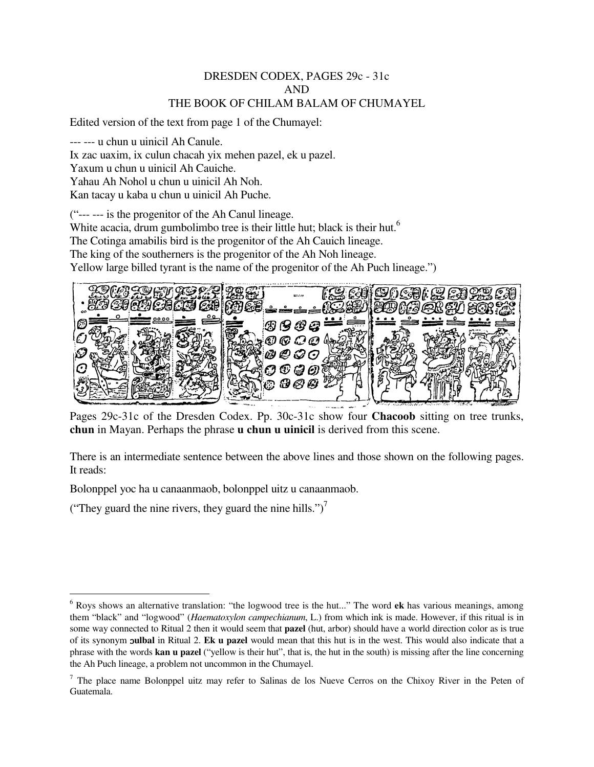### DRESDEN CODEX, PAGES 29c - 31c AND THE BOOK OF CHILAM BALAM OF CHUMAYEL

Edited version of the text from page 1 of the Chumayel:

--- --- u chun u uinicil Ah Canule. Ix zac uaxim, ix culun chacah yix mehen pazel, ek u pazel. Yaxum u chun u uinicil Ah Cauiche. Yahau Ah Nohol u chun u uinicil Ah Noh.

Kan tacay u kaba u chun u uinicil Ah Puche.

("--- --- is the progenitor of the Ah Canul lineage. White acacia, drum gumbolimbo tree is their little hut; black is their hut.<sup>6</sup> The Cotinga amabilis bird is the progenitor of the Ah Cauich lineage. The king of the southerners is the progenitor of the Ah Noh lineage. Yellow large billed tyrant is the name of the progenitor of the Ah Puch lineage.")



Pages 29c-31c of the Dresden Codex. Pp. 30c-31c show four **Chacoob** sitting on tree trunks, **chun** in Mayan. Perhaps the phrase **u chun u uinicil** is derived from this scene.

There is an intermediate sentence between the above lines and those shown on the following pages. It reads:

Bolonppel yoc ha u canaanmaob, bolonppel uitz u canaanmaob.

("They guard the nine rivers, they guard the nine hills.")<sup>7</sup>

 $\overline{a}$ 

<sup>6</sup> Roys shows an alternative translation: "the logwood tree is the hut..." The word **ek** has various meanings, among them "black" and "logwood" (*Haematoxylon campechianum*, L.) from which ink is made. However, if this ritual is in some way connected to Ritual 2 then it would seem that **pazel** (hut, arbor) should have a world direction color as is true of its synonym ɔ**ulbal** in Ritual 2. **Ek u pazel** would mean that this hut is in the west. This would also indicate that a phrase with the words **kan u pazel** ("yellow is their hut", that is, the hut in the south) is missing after the line concerning the Ah Puch lineage, a problem not uncommon in the Chumayel.

 $<sup>7</sup>$  The place name Bolonppel uitz may refer to Salinas de los Nueve Cerros on the Chixoy River in the Peten of</sup> Guatemala.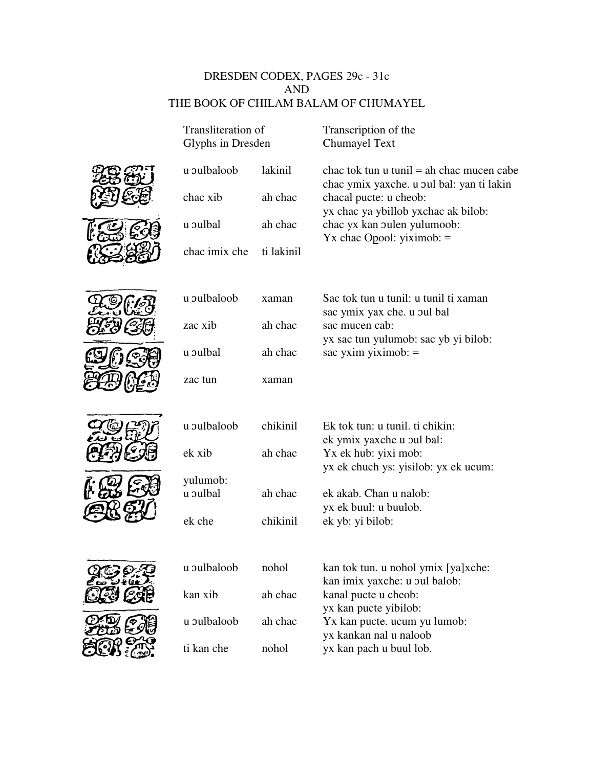## DRESDEN CODEX, PAGES 29c - 31c AND THE BOOK OF CHILAM BALAM OF CHUMAYEL

| Transliteration of<br>Glyphs in Dresden |            | Transcription of the<br>Chumayel Text                                                    |  |  |
|-----------------------------------------|------------|------------------------------------------------------------------------------------------|--|--|
| u pulbaloob                             | lakinil    | chac tok tun u tunil $=$ ah chac mucen cabe<br>chac ymix yaxche. u oul bal: yan ti lakin |  |  |
| chac xib                                | ah chac    | chacal pucte: u cheob:<br>yx chac ya ybillob yxchac ak bilob:                            |  |  |
| u pulbal                                | ah chac    | chac yx kan oulen yulumoob:<br>$Yx$ chac Opool: yiximob: =                               |  |  |
| chac imix che                           | ti lakinil |                                                                                          |  |  |
| u pulbaloob                             | xaman      | Sac tok tun u tunil: u tunil ti xaman                                                    |  |  |
| zac xib                                 | ah chac    | sac ymix yax che. u pul bal<br>sac mucen cab:<br>yx sac tun yulumob: sac yb yi bilob:    |  |  |
| u pulbal                                | ah chac    | sac yxim yiximob: $=$                                                                    |  |  |
| zac tun                                 | xaman      |                                                                                          |  |  |
| u pulbaloob                             | chikinil   | Ek tok tun: u tunil. ti chikin:                                                          |  |  |
| ek xib                                  | ah chac    | ek ymix yaxche u pul bal:<br>Yx ek hub: yixi mob:                                        |  |  |
| yulumob:<br>u pulbal                    | ah chac    | yx ek chuch ys: yisilob: yx ek ucum:<br>ek akab. Chan u nalob:                           |  |  |
| ek che                                  | chikinil   | yx ek buul: u buulob.<br>ek yb: yi bilob:                                                |  |  |
|                                         |            |                                                                                          |  |  |
| u pulbaloob                             | nohol      | kan tok tun. u nohol ymix [ya]xche:<br>kan imix yaxche: u oul balob:                     |  |  |
| kan xib                                 | ah chac    | kanal pucte u cheob:<br>yx kan pucte yibilob:                                            |  |  |
| u pulbaloob                             | ah chac    | Yx kan pucte. ucum yu lumob:<br>yx kankan nal u naloob                                   |  |  |
| ti kan che                              | nohol      | yx kan pach u buul lob.                                                                  |  |  |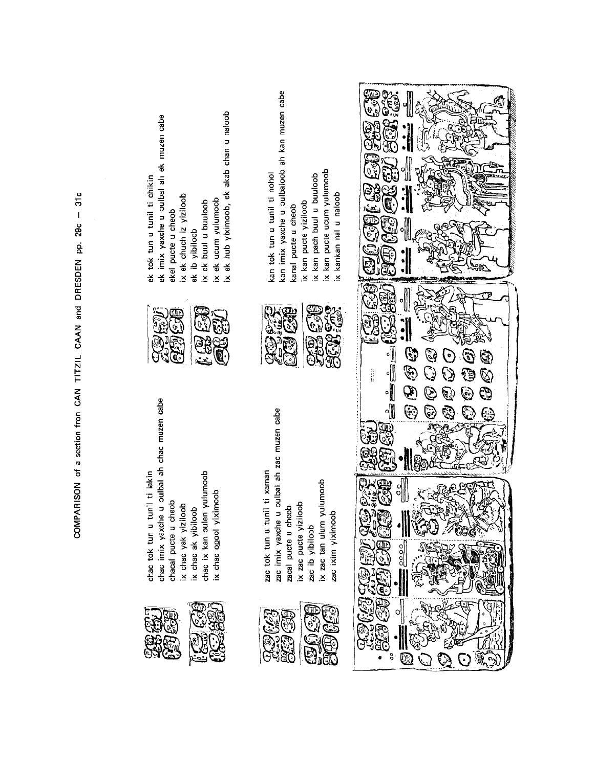| ix ek ucum yulumoob<br>ix ek hub yiximoob, ek akab chan u naloob<br>ek imix yaxche u oulbal ah ek muzen cabe<br>ek tok tun u tunil ti chikin<br>ix ek chuch iz yiziloob<br>ix ek buul u buuloob<br>ekel pucte u cheob<br>ek ib yibiloob | kan imix yaxche u oulbaloob ah kan muzen cabe<br>ix kan pucte ucum yulumoob<br>ix kankan nal u naloob<br>kan tok tun u tunil ti nohol<br>ix kan pach buul u buuloob<br>ix kan pucte yiziloob<br>kanal pucte u cheob | 6<br>יות Σ<br>痂                                                                                             |
|-----------------------------------------------------------------------------------------------------------------------------------------------------------------------------------------------------------------------------------------|---------------------------------------------------------------------------------------------------------------------------------------------------------------------------------------------------------------------|-------------------------------------------------------------------------------------------------------------|
| $\delta_{\rm s}$<br>í.<br>er<br>C<br>द<br>تھئے                                                                                                                                                                                          | ŞW.<br><b>921</b><br>ŒЕ<br>$\mathfrak{S}$<br>$\tilde{\mathcal{C}}$<br>۵<br><b>FoRP</b><br>è<br>୍ଗ<br>ଜ                                                                                                              | ⊪<br>⊪<br>٦<br>Ġ,<br>(a)<br>G.<br>and a<br>Ĕ<br>Ø.<br>-))                                                   |
| e u oulbal ah chac muzen cabe<br>tunil ti lakin<br>chac ix kan oulen yulumoob<br>ix chac opool yiximoob<br>cheob<br>iloob<br>ix chac yak yiziloob<br>ix chac ak yibiloob<br>chac imix yaxch<br>chac tok tun u<br>chacal pucte u         | u oulbal ah zac muzen cabe<br>zac tok tun u tunil ti xaman<br>yulumoob<br>ix zac pucte yiziloob<br>doer<br>zac ixim yiximoob<br>zac imix yaxche<br>ix zac tan ulum<br>zacal pucte u ch<br>zac ib yibiloob           | Ł<br>e)<br>C<br>$\frac{1}{2}$<br>િ<br>تسبيكا<br>્ર<br>္ဘ<br>아<br>تی تھا<br>تھارتی<br>G<br>$rac{1}{2}$<br>্ব |
|                                                                                                                                                                                                                                         | (ind<br><b>SAB</b><br>1920<br>SA<br>CASED<br>İ,                                                                                                                                                                     | eri<br>V<br>বাই<br>이<br>Θ<br>EC<br>°<br>$\mathcal{R}$<br>$\bullet$<br>( လျှိ<br>$\cdot$ )                   |

COMPARISON of a section from CAN TITZIL CAAN and DRESDEN pp. 29c - 31c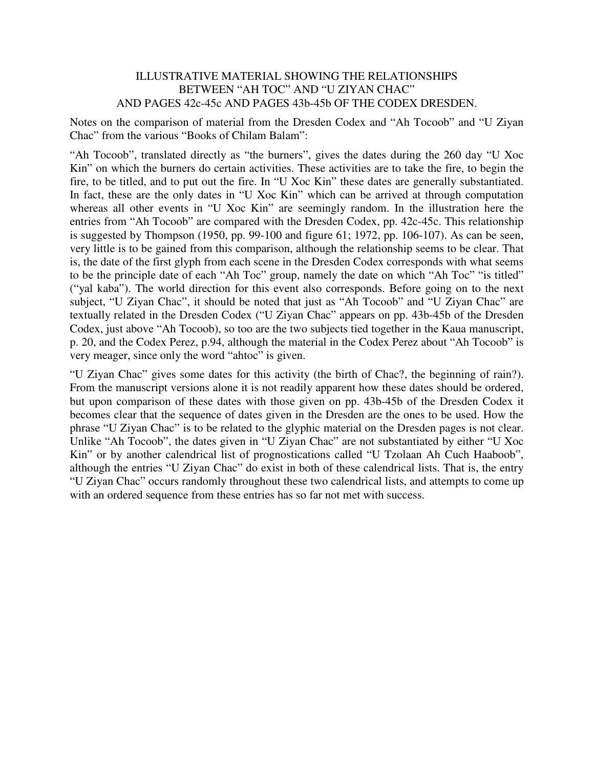### ILLUSTRATIVE MATERIAL SHOWING THE RELATIONSHIPS BETWEEN "AH TOC" AND "U ZIYAN CHAC" AND PAGES 42c-45c AND PAGES 43b-45b OF THE CODEX DRESDEN.

Notes on the comparison of material from the Dresden Codex and "Ah Tocoob" and "U Ziyan Chac" from the various "Books of Chilam Balam":

"Ah Tocoob", translated directly as "the burners", gives the dates during the 260 day "U Xoc Kin" on which the burners do certain activities. These activities are to take the fire, to begin the fire, to be titled, and to put out the fire. In "U Xoc Kin" these dates are generally substantiated. In fact, these are the only dates in "U Xoc Kin" which can be arrived at through computation whereas all other events in "U Xoc Kin" are seemingly random. In the illustration here the entries from "Ah Tocoob" are compared with the Dresden Codex, pp. 42c-45c. This relationship is suggested by Thompson (1950, pp. 99-100 and figure 61; 1972, pp. 106-107). As can be seen, very little is to be gained from this comparison, although the relationship seems to be clear. That is, the date of the first glyph from each scene in the Dresden Codex corresponds with what seems to be the principle date of each "Ah Toc" group, namely the date on which "Ah Toc" "is titled" ("yal kaba"). The world direction for this event also corresponds. Before going on to the next subject, "U Ziyan Chac", it should be noted that just as "Ah Tocoob" and "U Ziyan Chac" are textually related in the Dresden Codex ("U Ziyan Chac" appears on pp. 43b-45b of the Dresden Codex, just above "Ah Tocoob), so too are the two subjects tied together in the Kaua manuscript, p. 20, and the Codex Perez, p.94, although the material in the Codex Perez about "Ah Tocoob" is very meager, since only the word "ahtoc" is given.

"U Ziyan Chac" gives some dates for this activity (the birth of Chac?, the beginning of rain?). From the manuscript versions alone it is not readily apparent how these dates should be ordered, but upon comparison of these dates with those given on pp. 43b-45b of the Dresden Codex it becomes clear that the sequence of dates given in the Dresden are the ones to be used. How the phrase "U Ziyan Chac" is to be related to the glyphic material on the Dresden pages is not clear. Unlike "Ah Tocoob", the dates given in "U Ziyan Chac" are not substantiated by either "U Xoc Kin" or by another calendrical list of prognostications called "U Tzolaan Ah Cuch Haaboob", although the entries "U Ziyan Chac" do exist in both of these calendrical lists. That is, the entry "U Ziyan Chac" occurs randomly throughout these two calendrical lists, and attempts to come up with an ordered sequence from these entries has so far not met with success.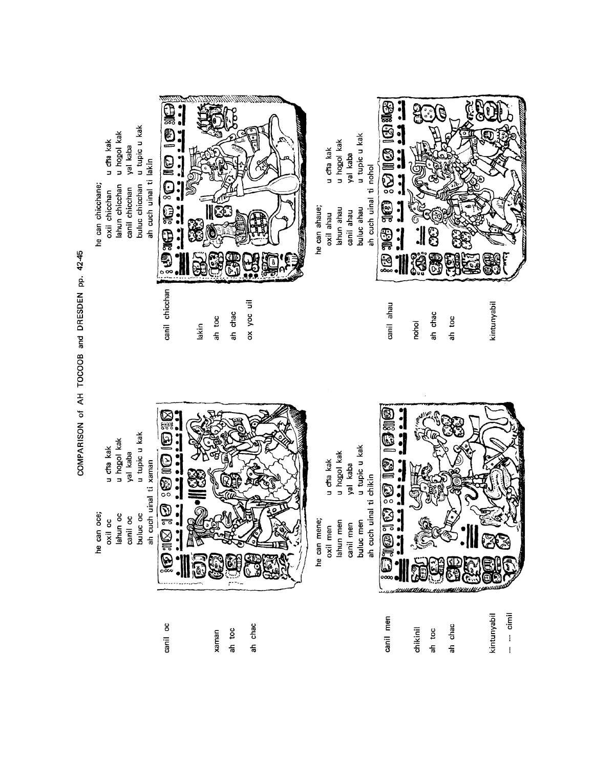

COMPARISON of AH TOCOOB and DRESDEN pp. 42-45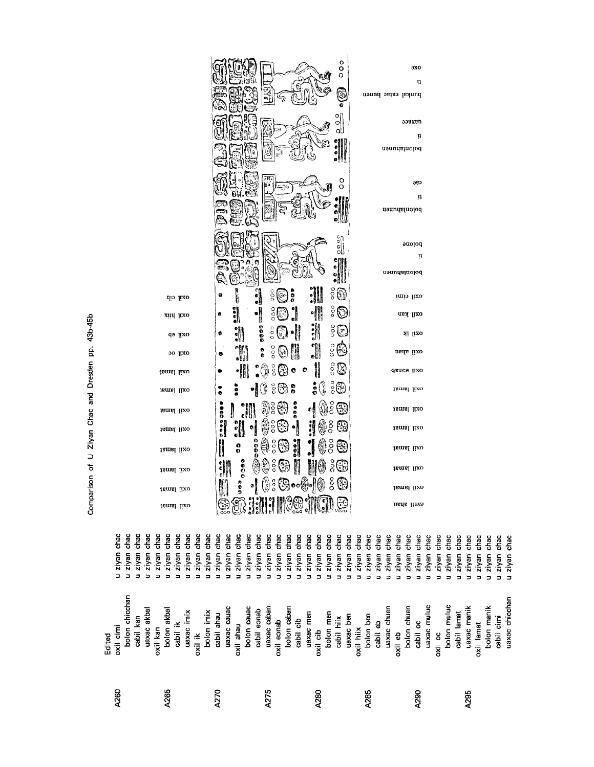|                                                                             |                                                                                                            |                                                                                             | ooo A Paperan Bar Loo                                                                                      | - 11<br><b>Service</b>                                                                                                 |                                                                                                  |                                                                                      |                                                                                                                                                        |
|-----------------------------------------------------------------------------|------------------------------------------------------------------------------------------------------------|---------------------------------------------------------------------------------------------|------------------------------------------------------------------------------------------------------------|------------------------------------------------------------------------------------------------------------------------|--------------------------------------------------------------------------------------------------|--------------------------------------------------------------------------------------|--------------------------------------------------------------------------------------------------------------------------------------------------------|
| chac<br>chac<br>chac<br>ziyan<br>ziyan<br>ziyan<br>$\overline{a}$<br>3<br>∍ | chac<br>chac<br>chac<br>chac<br>chac<br>ziyan<br>ziyan<br>ziyan<br>ziyan<br>ziyan<br>∍<br>⋍<br>∍<br>3<br>Ξ | chac<br>chac<br>chac<br>chac<br>chac<br>ziyan<br>ziyan<br>ziyan<br>ziyan<br>ziyan<br>∍<br>⊐ | chac<br>chac<br>chac<br>chac<br>chac<br>ziyan<br>ziyan<br>ziyan<br>ziyan<br>ziyan<br>∍<br>3<br>⊐<br>3<br>⊐ | chac<br>chac<br>chac<br>chac<br>chac<br>chac<br>ziyan<br>ziyan<br>ziyan<br>ziyan<br>ziyan<br>ziyan<br>5<br>3<br>5<br>⊐ | chac<br>chac<br>chac<br>chac<br>chac<br>ziyan<br>ziyan<br>ziyan<br>ziyan<br>ziyan<br>5<br>⊐<br>⊐ | chac<br>chac<br>chac<br>chac<br>ziyan<br>ziyan<br>ziyan<br>ziyan<br>∍<br>∍<br>Б<br>3 | chac<br>chac<br>chac<br>chac<br>chac<br>chac<br>chac<br>ziyan<br>ziyan<br>ziyan<br>ziyan<br>ziyan<br>ziyan<br>ziyan<br>∍<br>⊐<br>⊐<br>∍<br>∍<br>⊐<br>∍ |
| bolon chicchan<br>cabil kan<br>oxil cimi<br>Edited                          | uaxac akbal<br>bolon akbal<br>uaxac imix<br>cabil ik<br>oxil kan                                           | uaxac cauac<br>bolon imix<br>cabil ahau<br>oxil ahau<br>oxil ik                             | uaxac caban<br>bolon cauac<br>bolon caban<br>cabil eonab<br>oxil eonab                                     | uaxac men<br>bolon men<br>uaxac ben<br>cabil hiix<br>cabil cib<br>oxil cib                                             | uaxac chuen<br>bolon ben<br>cabil eb<br>oxil hiix<br>oxil eb                                     | uaxac muluc<br>bolon chuen<br>cabil oc<br>oxil oc                                    | uaxac chicchan<br>bolon muluc<br>uaxac manik<br>bolon manik<br>cabil lamat<br>cabil cimi<br>oxil lamat                                                 |
| A260                                                                        | A265                                                                                                       | A270                                                                                        | A275                                                                                                       | A280                                                                                                                   | A285                                                                                             | A290                                                                                 | A295                                                                                                                                                   |

Comparison of U Ziyan Chac and Dresden pp. 43b-45b

|                   |          |               |                               |                                |                             | $\vec{\mathcal{C}}$  | o<br>o<br>ö<br>O<br>ė<br>o<br>o | әхо<br>Į1<br>bunkal catac hunen<br>oosxau<br>Ţ1<br>polonlahnen |
|-------------------|----------|---------------|-------------------------------|--------------------------------|-----------------------------|----------------------|---------------------------------|----------------------------------------------------------------|
|                   |          |               |                               |                                | ریب                         |                      | ٥<br>ŏ                          | cse<br>Ţ1<br>polonlahuen                                       |
|                   |          | ្ត្រ          |                               |                                |                             |                      | en<br>Sl                        | pojoue<br>ņ<br>popontanen                                      |
|                   | oxil cib | O             | l                             | $\frac{1}{2}$<br>oo<br>O       | š<br>$\widehat{\mathbb{C}}$ |                      | ន្ត្រី                          | oxil cimi                                                      |
| xiid lixo         |          | ø             | $\frac{1}{2}$                 | $\frac{8}{3}$<br>֓׀֪֬֘֬֩       | QJ                          | I                    | ooo<br>ि                        | oxil kan                                                       |
|                   | qə uxo   | ¢             | $\frac{1}{2}$                 |                                | $\mathbb{C}^{\mathbb{C}}$   | $\ddot{\phantom{0}}$ | ွိ(နိ                           | oxil ik                                                        |
|                   | ovil oc  | ۰             | W                             | $\frac{0}{0}$<br>$\frac{1}{2}$ | ₩<br>☺                      |                      | ooo<br>ြ                        | oxil ahau                                                      |
| oxil lamat        |          | ۰             | W                             | $\frac{0}{2}$<br>0)            | (မြွှ) စ                    | $\bullet$            | $\circ$<br>B                    | dance lixo                                                     |
| jamal lixo        |          | o<br>ö        | š                             | င္ဂ်ိ<br>W                     | $\bullet$<br>법              | $\frac{1}{3}$<br>♦   | $\frac{1}{2}$                   | tsmsl lixo                                                     |
| oxil lamat        |          | 88<br>I       |                               | ٩<br>ွိ                        | <b>2000</b><br>₩            | ٥Ŋ                   | °°<br>೧೯                        | tamal lixo                                                     |
| <b>Jamal</b> lixo |          | $\frac{1}{2}$ | $\frac{1}{2}$<br>$\mathbf{e}$ | $\frac{6}{3}$<br>b)            | မြှု                        | j                    | ဒ္ဓိ<br>명                       | tamal lixo                                                     |
| oxil lamat        |          |               | <b>0000</b><br>0              | 0<br>$\frac{8}{6}$             | 냉                           |                      | ă<br>्ह                         | oxil lamat                                                     |
| oxil lamat        |          | ٥             | $\frac{8}{3}$<br>٤            | š                              | ुट्                         |                      | ဒ္ဓိ<br>Œ                       | ismsl lixo                                                     |
| oxil lamat        |          |               | 0<br>9<br>٥                   | $\frac{0}{0}$<br>())           | ြေခြဝေမြို့ကို              | 8)                   | ဒိ<br>÷                         | oxil lamat                                                     |
| oxil lamat        |          |               |                               |                                |                             |                      |                                 | canil apau                                                     |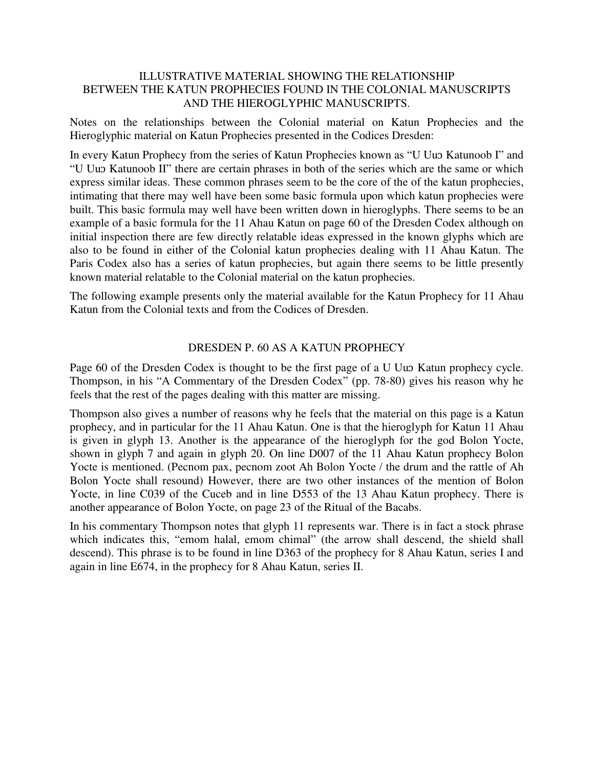## ILLUSTRATIVE MATERIAL SHOWING THE RELATIONSHIP BETWEEN THE KATUN PROPHECIES FOUND IN THE COLONIAL MANUSCRIPTS AND THE HIEROGLYPHIC MANUSCRIPTS.

Notes on the relationships between the Colonial material on Katun Prophecies and the Hieroglyphic material on Katun Prophecies presented in the Codices Dresden:

In every Katun Prophecy from the series of Katun Prophecies known as "U Uuɔ Katunoob I" and "U Uuɔ Katunoob II" there are certain phrases in both of the series which are the same or which express similar ideas. These common phrases seem to be the core of the of the katun prophecies, intimating that there may well have been some basic formula upon which katun prophecies were built. This basic formula may well have been written down in hieroglyphs. There seems to be an example of a basic formula for the 11 Ahau Katun on page 60 of the Dresden Codex although on initial inspection there are few directly relatable ideas expressed in the known glyphs which are also to be found in either of the Colonial katun prophecies dealing with 11 Ahau Katun. The Paris Codex also has a series of katun prophecies, but again there seems to be little presently known material relatable to the Colonial material on the katun prophecies.

The following example presents only the material available for the Katun Prophecy for 11 Ahau Katun from the Colonial texts and from the Codices of Dresden.

## DRESDEN P. 60 AS A KATUN PROPHECY

Page 60 of the Dresden Codex is thought to be the first page of a U Uup Katun prophecy cycle. Thompson, in his "A Commentary of the Dresden Codex" (pp. 78-80) gives his reason why he feels that the rest of the pages dealing with this matter are missing.

Thompson also gives a number of reasons why he feels that the material on this page is a Katun prophecy, and in particular for the 11 Ahau Katun. One is that the hieroglyph for Katun 11 Ahau is given in glyph 13. Another is the appearance of the hieroglyph for the god Bolon Yocte, shown in glyph 7 and again in glyph 20. On line D007 of the 11 Ahau Katun prophecy Bolon Yocte is mentioned. (Pecnom pax, pecnom zoot Ah Bolon Yocte / the drum and the rattle of Ah Bolon Yocte shall resound) However, there are two other instances of the mention of Bolon Yocte, in line C039 of the Cuceb and in line D553 of the 13 Ahau Katun prophecy. There is another appearance of Bolon Yocte, on page 23 of the Ritual of the Bacabs.

In his commentary Thompson notes that glyph 11 represents war. There is in fact a stock phrase which indicates this, "emom halal, emom chimal" (the arrow shall descend, the shield shall descend). This phrase is to be found in line D363 of the prophecy for 8 Ahau Katun, series I and again in line E674, in the prophecy for 8 Ahau Katun, series II.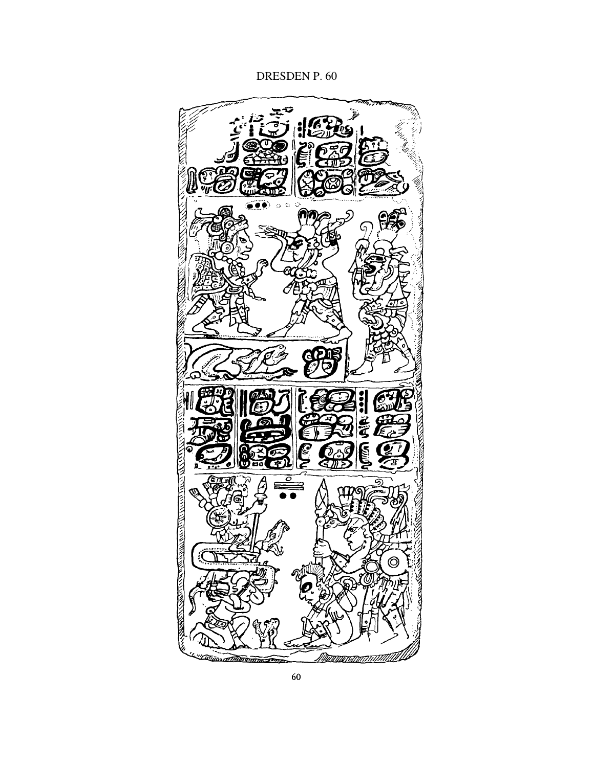# DRESDEN P. 60